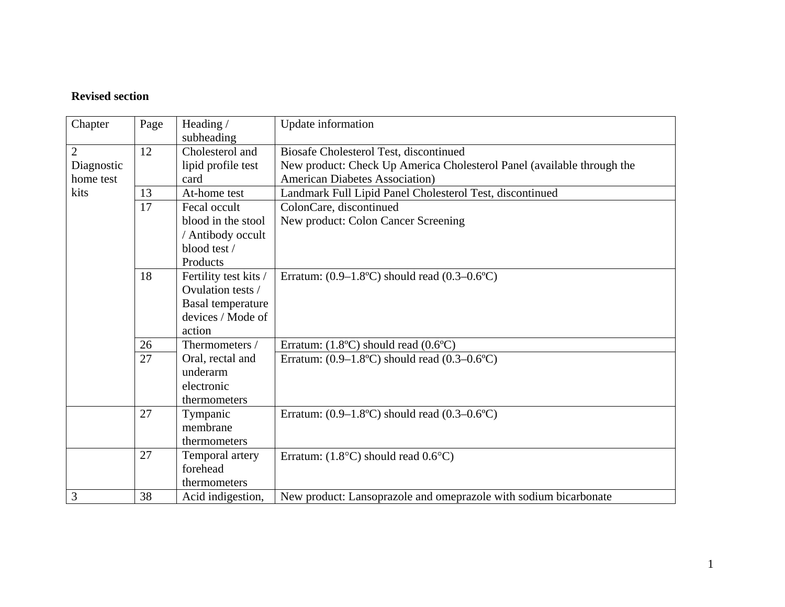## **Revised section**

| Chapter        | Page | Heading /                | Update information                                                           |
|----------------|------|--------------------------|------------------------------------------------------------------------------|
|                |      | subheading               |                                                                              |
| $\overline{2}$ | 12   | Cholesterol and          | Biosafe Cholesterol Test, discontinued                                       |
| Diagnostic     |      | lipid profile test       | New product: Check Up America Cholesterol Panel (available through the       |
| home test      |      | card                     | <b>American Diabetes Association</b> )                                       |
| kits           | 13   | At-home test             | Landmark Full Lipid Panel Cholesterol Test, discontinued                     |
|                | 17   | Fecal occult             | ColonCare, discontinued                                                      |
|                |      | blood in the stool       | New product: Colon Cancer Screening                                          |
|                |      | / Antibody occult        |                                                                              |
|                |      | blood test /             |                                                                              |
|                |      | Products                 |                                                                              |
|                | 18   | Fertility test kits /    | Erratum: $(0.9-1.8^{\circ}\text{C})$ should read $(0.3-0.6^{\circ}\text{C})$ |
|                |      | Ovulation tests /        |                                                                              |
|                |      | <b>Basal temperature</b> |                                                                              |
|                |      | devices / Mode of        |                                                                              |
|                |      | action                   |                                                                              |
|                | 26   | Thermometers /           | Erratum: $(1.8^{\circ}C)$ should read $(0.6^{\circ}C)$                       |
|                | 27   | Oral, rectal and         | Erratum: $(0.9-1.8$ °C) should read $(0.3-0.6$ °C)                           |
|                |      | underarm                 |                                                                              |
|                |      | electronic               |                                                                              |
|                |      | thermometers             |                                                                              |
|                | 27   | Tympanic                 | Erratum: $(0.9-1.8$ °C) should read $(0.3-0.6$ °C)                           |
|                |      | membrane                 |                                                                              |
|                |      | thermometers             |                                                                              |
|                | 27   | Temporal artery          | Erratum: $(1.8^{\circ}C)$ should read $0.6^{\circ}C$ )                       |
|                |      | forehead                 |                                                                              |
|                |      | thermometers             |                                                                              |
| 3              | 38   | Acid indigestion,        | New product: Lansoprazole and omeprazole with sodium bicarbonate             |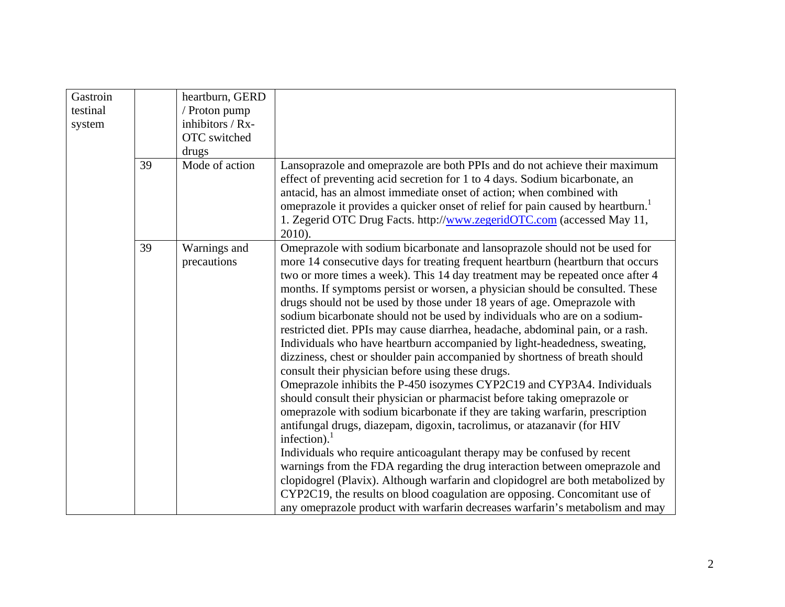| Gastroin |    | heartburn, GERD  |                                                                                                                                                                                                                                                                                                                                                                                                                                                                                                                                                                                                                                                                                                                                                                                                                                                                                                                                                                                                                                                                                                                                                                                                                                                                                                                                                                                                                                                              |
|----------|----|------------------|--------------------------------------------------------------------------------------------------------------------------------------------------------------------------------------------------------------------------------------------------------------------------------------------------------------------------------------------------------------------------------------------------------------------------------------------------------------------------------------------------------------------------------------------------------------------------------------------------------------------------------------------------------------------------------------------------------------------------------------------------------------------------------------------------------------------------------------------------------------------------------------------------------------------------------------------------------------------------------------------------------------------------------------------------------------------------------------------------------------------------------------------------------------------------------------------------------------------------------------------------------------------------------------------------------------------------------------------------------------------------------------------------------------------------------------------------------------|
| testinal |    | / Proton pump    |                                                                                                                                                                                                                                                                                                                                                                                                                                                                                                                                                                                                                                                                                                                                                                                                                                                                                                                                                                                                                                                                                                                                                                                                                                                                                                                                                                                                                                                              |
| system   |    | inhibitors / Rx- |                                                                                                                                                                                                                                                                                                                                                                                                                                                                                                                                                                                                                                                                                                                                                                                                                                                                                                                                                                                                                                                                                                                                                                                                                                                                                                                                                                                                                                                              |
|          |    | OTC switched     |                                                                                                                                                                                                                                                                                                                                                                                                                                                                                                                                                                                                                                                                                                                                                                                                                                                                                                                                                                                                                                                                                                                                                                                                                                                                                                                                                                                                                                                              |
|          |    | drugs            |                                                                                                                                                                                                                                                                                                                                                                                                                                                                                                                                                                                                                                                                                                                                                                                                                                                                                                                                                                                                                                                                                                                                                                                                                                                                                                                                                                                                                                                              |
|          | 39 | Mode of action   | Lansoprazole and omeprazole are both PPIs and do not achieve their maximum<br>effect of preventing acid secretion for 1 to 4 days. Sodium bicarbonate, an<br>antacid, has an almost immediate onset of action; when combined with<br>omeprazole it provides a quicker onset of relief for pain caused by heartburn.<br>1. Zegerid OTC Drug Facts. http://www.zegeridOTC.com (accessed May 11,<br>2010).                                                                                                                                                                                                                                                                                                                                                                                                                                                                                                                                                                                                                                                                                                                                                                                                                                                                                                                                                                                                                                                      |
|          | 39 | Warnings and     | Omeprazole with sodium bicarbonate and lansoprazole should not be used for                                                                                                                                                                                                                                                                                                                                                                                                                                                                                                                                                                                                                                                                                                                                                                                                                                                                                                                                                                                                                                                                                                                                                                                                                                                                                                                                                                                   |
|          |    | precautions      | more 14 consecutive days for treating frequent heartburn (heartburn that occurs<br>two or more times a week). This 14 day treatment may be repeated once after 4<br>months. If symptoms persist or worsen, a physician should be consulted. These<br>drugs should not be used by those under 18 years of age. Omeprazole with<br>sodium bicarbonate should not be used by individuals who are on a sodium-<br>restricted diet. PPIs may cause diarrhea, headache, abdominal pain, or a rash.<br>Individuals who have heartburn accompanied by light-headedness, sweating,<br>dizziness, chest or shoulder pain accompanied by shortness of breath should<br>consult their physician before using these drugs.<br>Omeprazole inhibits the P-450 isozymes CYP2C19 and CYP3A4. Individuals<br>should consult their physician or pharmacist before taking omeprazole or<br>omeprazole with sodium bicarbonate if they are taking warfarin, prescription<br>antifungal drugs, diazepam, digoxin, tacrolimus, or atazanavir (for HIV<br>infection). $1$<br>Individuals who require anticoagulant therapy may be confused by recent<br>warnings from the FDA regarding the drug interaction between omeprazole and<br>clopidogrel (Plavix). Although warfarin and clopidogrel are both metabolized by<br>CYP2C19, the results on blood coagulation are opposing. Concomitant use of<br>any omeprazole product with warfarin decreases warfarin's metabolism and may |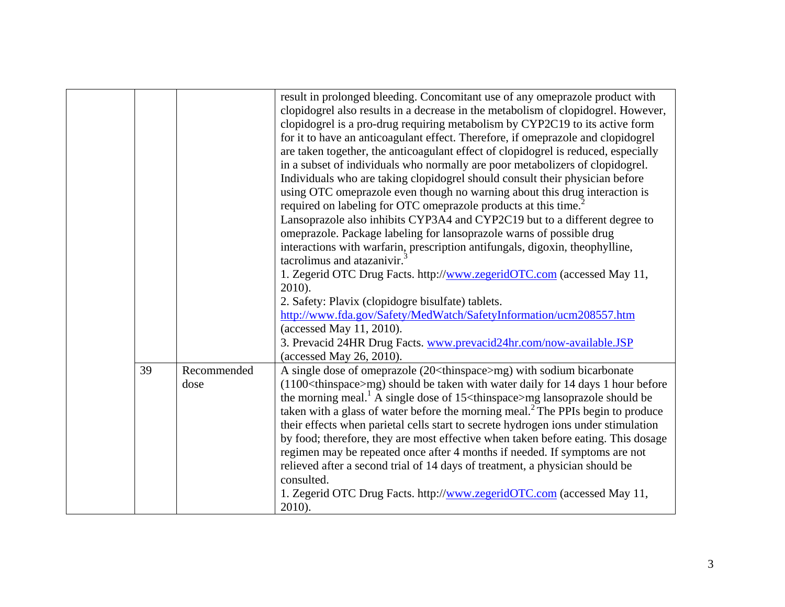|    |                     | result in prolonged bleeding. Concomitant use of any omeprazole product with<br>clopidogrel also results in a decrease in the metabolism of clopidogrel. However,<br>clopidogrel is a pro-drug requiring metabolism by CYP2C19 to its active form<br>for it to have an anticoagulant effect. Therefore, if omeprazole and clopidogrel<br>are taken together, the anticoagulant effect of clopidogrel is reduced, especially<br>in a subset of individuals who normally are poor metabolizers of clopidogrel.<br>Individuals who are taking clopidogrel should consult their physician before<br>using OTC omeprazole even though no warning about this drug interaction is<br>required on labeling for OTC omeprazole products at this time. <sup>2</sup>                                                                                       |
|----|---------------------|-------------------------------------------------------------------------------------------------------------------------------------------------------------------------------------------------------------------------------------------------------------------------------------------------------------------------------------------------------------------------------------------------------------------------------------------------------------------------------------------------------------------------------------------------------------------------------------------------------------------------------------------------------------------------------------------------------------------------------------------------------------------------------------------------------------------------------------------------|
|    |                     | Lansoprazole also inhibits CYP3A4 and CYP2C19 but to a different degree to<br>omeprazole. Package labeling for lansoprazole warns of possible drug<br>interactions with warfarin, prescription antifungals, digoxin, theophylline,<br>tacrolimus and atazanivir.<br>1. Zegerid OTC Drug Facts. http://www.zegeridOTC.com (accessed May 11,<br>2010).<br>2. Safety: Plavix (clopidogre bisulfate) tablets.<br>http://www.fda.gov/Safety/MedWatch/SafetyInformation/ucm208557.htm<br>(accessed May 11, 2010).<br>3. Prevacid 24HR Drug Facts. www.prevacid24hr.com/now-available.JSP<br>(accessed May 26, 2010).                                                                                                                                                                                                                                  |
| 39 | Recommended<br>dose | A single dose of omeprazole (20 <thinspace>mg) with sodium bicarbonate<br/>(1100<thinspace>mg) should be taken with water daily for 14 days 1 hour before<br/>the morning meal.<sup>1</sup> A single dose of 15 <math>\lt</math>thinspace&gt;mg lansoprazole should be<br/>taken with a glass of water before the morning meal.<sup>2</sup> The PPIs begin to produce<br/>their effects when parietal cells start to secrete hydrogen ions under stimulation<br/>by food; therefore, they are most effective when taken before eating. This dosage<br/>regimen may be repeated once after 4 months if needed. If symptoms are not<br/>relieved after a second trial of 14 days of treatment, a physician should be<br/>consulted.<br/>1. Zegerid OTC Drug Facts. http://www.zegeridOTC.com (accessed May 11,<br/>2010).</thinspace></thinspace> |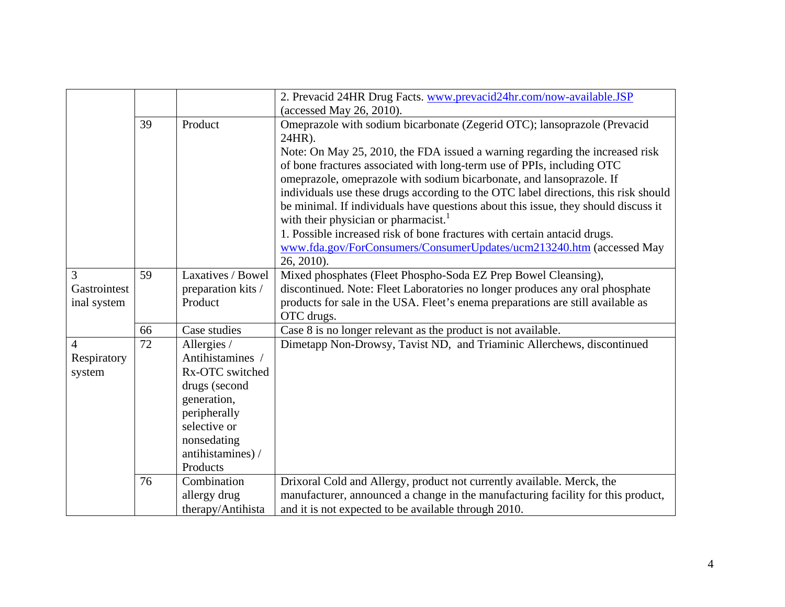|                |    |                    | 2. Prevacid 24HR Drug Facts. www.prevacid24hr.com/now-available.JSP                 |
|----------------|----|--------------------|-------------------------------------------------------------------------------------|
|                |    |                    | (accessed May 26, 2010).                                                            |
|                | 39 | Product            | Omeprazole with sodium bicarbonate (Zegerid OTC); lansoprazole (Prevacid<br>24HR).  |
|                |    |                    | Note: On May 25, 2010, the FDA issued a warning regarding the increased risk        |
|                |    |                    | of bone fractures associated with long-term use of PPIs, including OTC              |
|                |    |                    | omeprazole, omeprazole with sodium bicarbonate, and lansoprazole. If                |
|                |    |                    | individuals use these drugs according to the OTC label directions, this risk should |
|                |    |                    | be minimal. If individuals have questions about this issue, they should discuss it  |
|                |    |                    | with their physician or pharmacist. <sup>1</sup>                                    |
|                |    |                    | 1. Possible increased risk of bone fractures with certain antacid drugs.            |
|                |    |                    | www.fda.gov/ForConsumers/ConsumerUpdates/ucm213240.htm (accessed May                |
|                |    |                    | 26, 2010).                                                                          |
| 3              | 59 | Laxatives / Bowel  | Mixed phosphates (Fleet Phospho-Soda EZ Prep Bowel Cleansing),                      |
| Gastrointest   |    | preparation kits / | discontinued. Note: Fleet Laboratories no longer produces any oral phosphate        |
| inal system    |    | Product            | products for sale in the USA. Fleet's enema preparations are still available as     |
|                |    |                    | OTC drugs.                                                                          |
|                | 66 | Case studies       | Case 8 is no longer relevant as the product is not available.                       |
| $\overline{4}$ | 72 | Allergies /        | Dimetapp Non-Drowsy, Tavist ND, and Triaminic Allerchews, discontinued              |
| Respiratory    |    | Antihistamines /   |                                                                                     |
| system         |    | Rx-OTC switched    |                                                                                     |
|                |    | drugs (second      |                                                                                     |
|                |    | generation,        |                                                                                     |
|                |    | peripherally       |                                                                                     |
|                |    | selective or       |                                                                                     |
|                |    | nonsedating        |                                                                                     |
|                |    | antihistamines) /  |                                                                                     |
|                |    | Products           |                                                                                     |
|                | 76 | Combination        | Drixoral Cold and Allergy, product not currently available. Merck, the              |
|                |    | allergy drug       | manufacturer, announced a change in the manufacturing facility for this product,    |
|                |    | therapy/Antihista  | and it is not expected to be available through 2010.                                |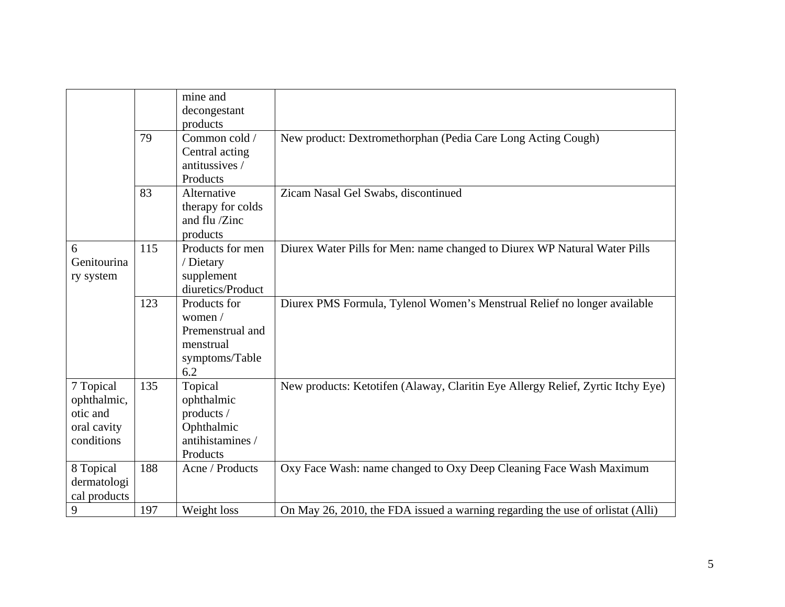|                                                                   |     | mine and<br>decongestant<br>products                                              |                                                                                 |
|-------------------------------------------------------------------|-----|-----------------------------------------------------------------------------------|---------------------------------------------------------------------------------|
|                                                                   | 79  | Common cold /<br>Central acting<br>antitussives /<br>Products                     | New product: Dextromethorphan (Pedia Care Long Acting Cough)                    |
|                                                                   | 83  | Alternative<br>therapy for colds<br>and flu /Zinc<br>products                     | Zicam Nasal Gel Swabs, discontinued                                             |
| 6<br>Genitourina<br>ry system                                     | 115 | Products for men<br>/ Dietary<br>supplement<br>diuretics/Product                  | Diurex Water Pills for Men: name changed to Diurex WP Natural Water Pills       |
|                                                                   | 123 | Products for<br>women /<br>Premenstrual and<br>menstrual<br>symptoms/Table<br>6.2 | Diurex PMS Formula, Tylenol Women's Menstrual Relief no longer available        |
| 7 Topical<br>ophthalmic,<br>otic and<br>oral cavity<br>conditions | 135 | Topical<br>ophthalmic<br>products /<br>Ophthalmic<br>antihistamines /<br>Products | New products: Ketotifen (Alaway, Claritin Eye Allergy Relief, Zyrtic Itchy Eye) |
| 8 Topical<br>dermatologi<br>cal products                          | 188 | Acne / Products                                                                   | Oxy Face Wash: name changed to Oxy Deep Cleaning Face Wash Maximum              |
| 9                                                                 | 197 | Weight loss                                                                       | On May 26, 2010, the FDA issued a warning regarding the use of orlistat (Alli)  |